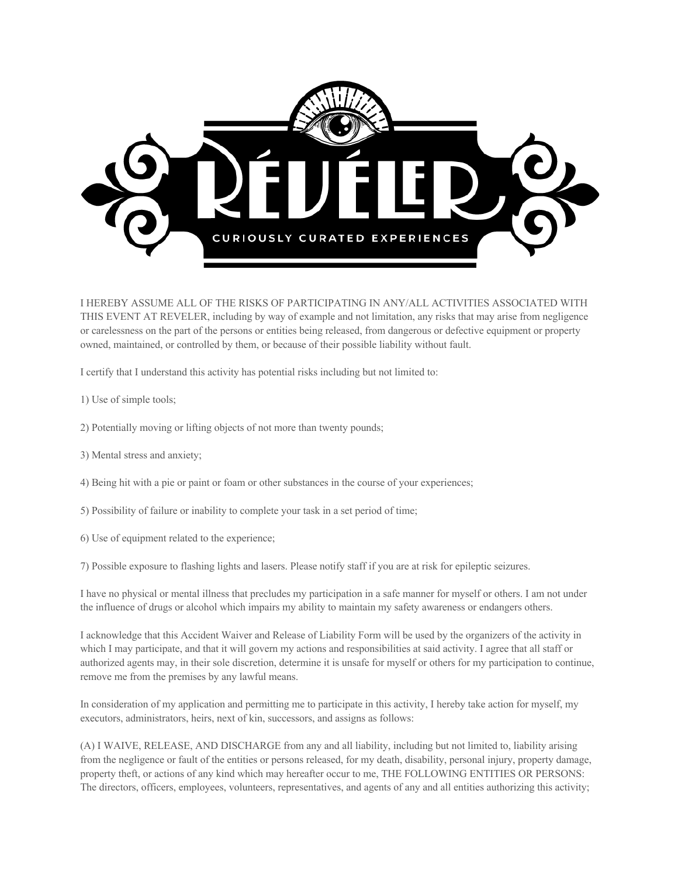

I HEREBY ASSUME ALL OF THE RISKS OF PARTICIPATING IN ANY/ALL ACTIVITIES ASSOCIATED WITH THIS EVENT AT REVELER, including by way of example and not limitation, any risks that may arise from negligence or carelessness on the part of the persons or entities being released, from dangerous or defective equipment or property owned, maintained, or controlled by them, or because of their possible liability without fault.

I certify that I understand this activity has potential risks including but not limited to:

- 1) Use of simple tools;
- 2) Potentially moving or lifting objects of not more than twenty pounds;
- 3) Mental stress and anxiety;
- 4) Being hit with a pie or paint or foam or other substances in the course of your experiences;
- 5) Possibility of failure or inability to complete your task in a set period of time;
- 6) Use of equipment related to the experience;

7) Possible exposure to flashing lights and lasers. Please notify staff if you are at risk for epileptic seizures.

I have no physical or mental illness that precludes my participation in a safe manner for myself or others. I am not under the influence of drugs or alcohol which impairs my ability to maintain my safety awareness or endangers others.

I acknowledge that this Accident Waiver and Release of Liability Form will be used by the organizers of the activity in which I may participate, and that it will govern my actions and responsibilities at said activity. I agree that all staff or authorized agents may, in their sole discretion, determine it is unsafe for myself or others for my participation to continue, remove me from the premises by any lawful means.

In consideration of my application and permitting me to participate in this activity, I hereby take action for myself, my executors, administrators, heirs, next of kin, successors, and assigns as follows:

(A) I WAIVE, RELEASE, AND DISCHARGE from any and all liability, including but not limited to, liability arising from the negligence or fault of the entities or persons released, for my death, disability, personal injury, property damage, property theft, or actions of any kind which may hereafter occur to me, THE FOLLOWING ENTITIES OR PERSONS: The directors, officers, employees, volunteers, representatives, and agents of any and all entities authorizing this activity;